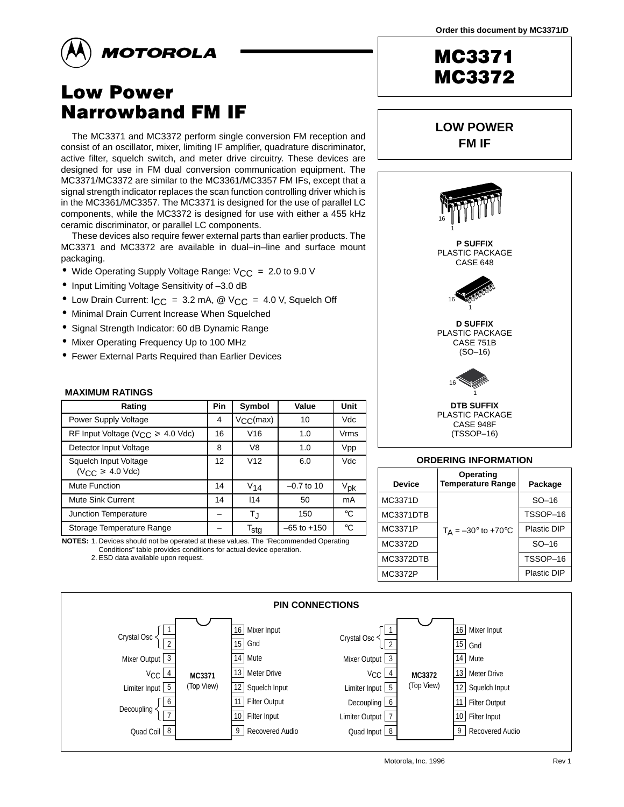**LOW POWER FM IF**



# **Low Power Narrowband FM IF**

The MC3371 and MC3372 perform single conversion FM reception and consist of an oscillator, mixer, limiting IF amplifier, quadrature discriminator, active filter, squelch switch, and meter drive circuitry. These devices are designed for use in FM dual conversion communication equipment. The MC3371/MC3372 are similar to the MC3361/MC3357 FM IFs, except that a signal strength indicator replaces the scan function controlling driver which is in the MC3361/MC3357. The MC3371 is designed for the use of parallel LC components, while the MC3372 is designed for use with either a 455 kHz ceramic discriminator, or parallel LC components.

These devices also require fewer external parts than earlier products. The MC3371 and MC3372 are available in dual–in–line and surface mount packaging.

- Wide Operating Supply Voltage Range:  $V_{CC} = 2.0$  to 9.0 V
- Input Limiting Voltage Sensitivity of –3.0 dB
- Low Drain Current:  $ICC = 3.2$  mA, @  $VCC = 4.0$  V, Squelch Off
- Minimal Drain Current Increase When Squelched
- Signal Strength Indicator: 60 dB Dynamic Range
- Mixer Operating Frequency Up to 100 MHz
- Fewer External Parts Required than Earlier Devices

#### **MAXIMUM RATINGS**

| Rating                                           | Pin | Symbol            | Value           | Unit            |
|--------------------------------------------------|-----|-------------------|-----------------|-----------------|
| Power Supply Voltage                             | 4   | $V_{\rm CC}(max)$ | 10              | Vdc             |
| RF Input Voltage ( $V_{CC} \ge 4.0$ Vdc)         | 16  | V16               | 1.0             | <b>Vrms</b>     |
| Detector Input Voltage                           | 8   | V8                | 1.0             | Vpp             |
| Squelch Input Voltage<br>$(V_{CC} \geq 4.0$ Vdc) | 12  | V <sub>12</sub>   | 6.0             | Vdc             |
| Mute Function                                    | 14  | $V_{14}$          | $-0.7$ to 10    | V <sub>pk</sub> |
| Mute Sink Current                                | 14  | 114               | 50              | mA              |
| Junction Temperature                             |     | TJ                | 150             | $^{\circ}C$     |
| Storage Temperature Range                        |     | $T_{\sf stg}$     | $-65$ to $+150$ | $^{\circ}C$     |

**NOTES:** 1. Devices should not be operated at these values. The "Recommended Operating Conditions" table provides conditions for actual device operation.

2. ESD data available upon request.



| <b>Device</b> | <b>Temperature Range</b>                | Package     |
|---------------|-----------------------------------------|-------------|
| MC3371D       |                                         | $SO-16$     |
| MC3371DTB     |                                         | TSSOP-16    |
| MC3371P       | $T_A = -30^{\circ}$ to +70 $^{\circ}$ C | Plastic DIP |
| MC3372D       |                                         | $SO-16$     |
| MC3372DTB     |                                         | TSSOP-16    |
| MC3372P       |                                         | Plastic DIP |

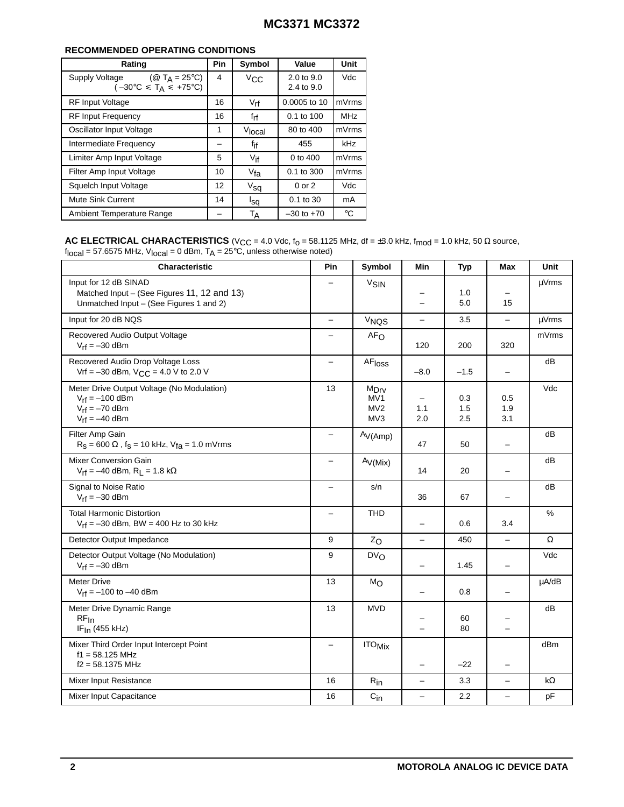### **RECOMMENDED OPERATING CONDITIONS**

| Rating                                                                                                             | Pin | Symbol          | Value                               | Unit       |
|--------------------------------------------------------------------------------------------------------------------|-----|-----------------|-------------------------------------|------------|
| ( $\circledR$ T <sub>A</sub> = 25 <sup>°</sup> C)<br>Supply Voltage<br>$(-30^{\circ}C \leq T_A \leq +75^{\circ}C)$ | 4   | Vcc             | $2.0 \text{ to } 9.0$<br>2.4 to 9.0 | Vdc        |
| <b>RF Input Voltage</b>                                                                                            | 16  | $V_{rf}$        | 0.0005 to 10                        | mVrms      |
| <b>RF Input Frequency</b>                                                                                          | 16  | $f_{rf}$        | $0.1$ to $100$                      | <b>MHz</b> |
| Oscillator Input Voltage                                                                                           | 1   | Vlocal          | 80 to 400                           | mVrms      |
| Intermediate Frequency                                                                                             |     | f <sub>if</sub> | 455                                 | kHz        |
| Limiter Amp Input Voltage                                                                                          | 5   | $V$ if          | 0 to 400                            | mVrms      |
| Filter Amp Input Voltage                                                                                           | 10  | $V_{fa}$        | 0.1 to 300                          | mVrms      |
| Squelch Input Voltage                                                                                              | 12  | $V_{sq}$        | $0$ or $2$                          | Vdc        |
| Mute Sink Current                                                                                                  | 14  | <sup>l</sup> sq | $0.1$ to 30                         | mA         |
| Ambient Temperature Range                                                                                          |     | Тд              | $-30$ to $+70$                      | °C         |

**AC ELECTRICAL CHARACTERISTICS** (V<sub>CC</sub> = 4.0 Vdc, f<sub>0</sub> = 58.1125 MHz, df = ±3.0 kHz, f<sub>mod</sub> = 1.0 kHz, 50  $\Omega$  source, f<sub>local</sub> = 57.6575 MHz, V<sub>local</sub> = 0 dBm, T<sub>A</sub> = 25°C, unless otherwise noted)

| ivvui                                                                                                           |                          |                                                   |                          |                   |                          |            |
|-----------------------------------------------------------------------------------------------------------------|--------------------------|---------------------------------------------------|--------------------------|-------------------|--------------------------|------------|
| <b>Characteristic</b>                                                                                           | Pin                      | Symbol                                            | Min                      | <b>Typ</b>        | Max                      | Unit       |
| Input for 12 dB SINAD<br>Matched Input - (See Figures 11, 12 and 13)<br>Unmatched Input - (See Figures 1 and 2) | $\overline{\phantom{0}}$ | <b>V<sub>SIN</sub></b>                            |                          | 1.0<br>5.0        | 15                       | µVrms      |
| Input for 20 dB NQS                                                                                             | $\equiv$                 | <b>V<sub>NQS</sub></b>                            | $\equiv$                 | 3.5               | $\overline{\phantom{0}}$ | $\mu$ Vrms |
| Recovered Audio Output Voltage<br>$V_{rf} = -30$ dBm                                                            | -                        | AF <sub>O</sub>                                   | 120                      | 200               | 320                      | mVrms      |
| Recovered Audio Drop Voltage Loss<br>Vrf = $-30$ dBm, V <sub>CC</sub> = 4.0 V to 2.0 V                          |                          | AFloss                                            | $-8.0$                   | $-1.5$            | -                        | dB         |
| Meter Drive Output Voltage (No Modulation)<br>$V_{rf} = -100$ dBm<br>$V_{rf} = -70$ dBm<br>$V_{rf} = -40$ dBm   | 13                       | M <sub>Drv</sub><br>MV1<br>MV2<br>MV <sub>3</sub> | 1.1<br>2.0               | 0.3<br>1.5<br>2.5 | 0.5<br>1.9<br>3.1        | Vdc        |
| Filter Amp Gain<br>$R_S = 600 \Omega$ , f <sub>S</sub> = 10 kHz, V <sub>fa</sub> = 1.0 mVrms                    |                          | Av(Amp)                                           | 47                       | 50                | $\overline{\phantom{0}}$ | dB         |
| Mixer Conversion Gain<br>$V_{rf}$ = -40 dBm, R <sub>L</sub> = 1.8 kΩ                                            | -                        | Av(Mix)                                           | 14                       | 20                |                          | dB         |
| Signal to Noise Ratio<br>$V_{rf} = -30$ dBm                                                                     | $\equiv$                 | s/n                                               | 36                       | 67                | $\overline{\phantom{0}}$ | dB         |
| <b>Total Harmonic Distortion</b><br>$V_{rf} = -30$ dBm, BW = 400 Hz to 30 kHz                                   | $\overline{\phantom{0}}$ | <b>THD</b>                                        |                          | 0.6               | 3.4                      | $\%$       |
| Detector Output Impedance                                                                                       | 9                        | $Z_{\rm O}$                                       | $\overline{\phantom{0}}$ | 450               | $\qquad \qquad -$        | Ω          |
| Detector Output Voltage (No Modulation)<br>$V_{rf} = -30$ dBm                                                   | 9                        | DV <sub>O</sub>                                   |                          | 1.45              | $\overline{\phantom{0}}$ | Vdc        |
| <b>Meter Drive</b><br>$V_{rf} = -100$ to $-40$ dBm                                                              | 13                       | M <sub>O</sub>                                    | $\overline{\phantom{0}}$ | 0.8               | $\overline{\phantom{0}}$ | $\mu$ A/dB |
| Meter Drive Dynamic Range<br>RF <sub>In</sub><br>$IFIn$ (455 kHz)                                               | 13                       | <b>MVD</b>                                        | $\overline{\phantom{0}}$ | 60<br>80          | $\overline{\phantom{0}}$ | dB         |
| Mixer Third Order Input Intercept Point<br>$f1 = 58.125$ MHz<br>$f2 = 58.1375$ MHz                              | $\overline{\phantom{0}}$ | $\mathsf{ITO}_{\mathsf{Mix}}$                     | -                        | $-22$             | $\overline{\phantom{0}}$ | dBm        |
| Mixer Input Resistance                                                                                          | 16                       | $\mathsf{R}_{\mathsf{in}}$                        | $\overline{\phantom{0}}$ | 3.3               | $\overline{\phantom{0}}$ | kΩ         |
| Mixer Input Capacitance                                                                                         | 16                       | $C_{in}$                                          | $\overline{\phantom{0}}$ | 2.2               | $\overline{\phantom{0}}$ | pF         |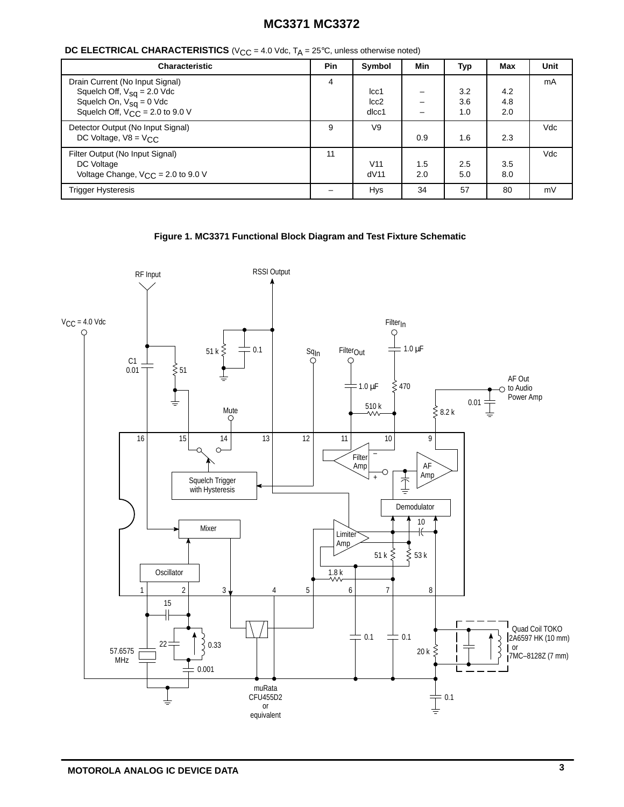| <b>DC ELECTRICAL CHARACTERISTICS</b> ( $V_{CC}$ = 4.0 Vdc, $T_A$ = 25°C, unless otherwise noted) |  |  |  |
|--------------------------------------------------------------------------------------------------|--|--|--|
|--------------------------------------------------------------------------------------------------|--|--|--|

| <b>Characteristic</b>                                                                                                                             | <b>Pin</b> | Symbol                  | Min        | Typ               | Max               | <b>Unit</b> |
|---------------------------------------------------------------------------------------------------------------------------------------------------|------------|-------------------------|------------|-------------------|-------------------|-------------|
| Drain Current (No Input Signal)<br>Squelch Off, $V_{sq} = 2.0$ Vdc<br>Squelch On, $V_{sq} = 0$ Vdc<br>Squelch Off, $V_{\text{CC}} = 2.0$ to 9.0 V | 4          | cc1<br> cc2 <br>dlcc1   |            | 3.2<br>3.6<br>1.0 | 4.2<br>4.8<br>2.0 | mA          |
| Detector Output (No Input Signal)<br>DC Voltage, $V8 = V_C C$                                                                                     | 9          | V9                      | 0.9        | 1.6               | 2.3               | Vdc         |
| Filter Output (No Input Signal)<br>DC Voltage<br>Voltage Change, $V_{C,C} = 2.0$ to 9.0 V                                                         | 11         | V <sub>11</sub><br>dV11 | 1.5<br>2.0 | 2.5<br>5.0        | 3.5<br>8.0        | Vdc         |
| <b>Trigger Hysteresis</b>                                                                                                                         |            | <b>Hys</b>              | 34         | 57                | 80                | mV          |



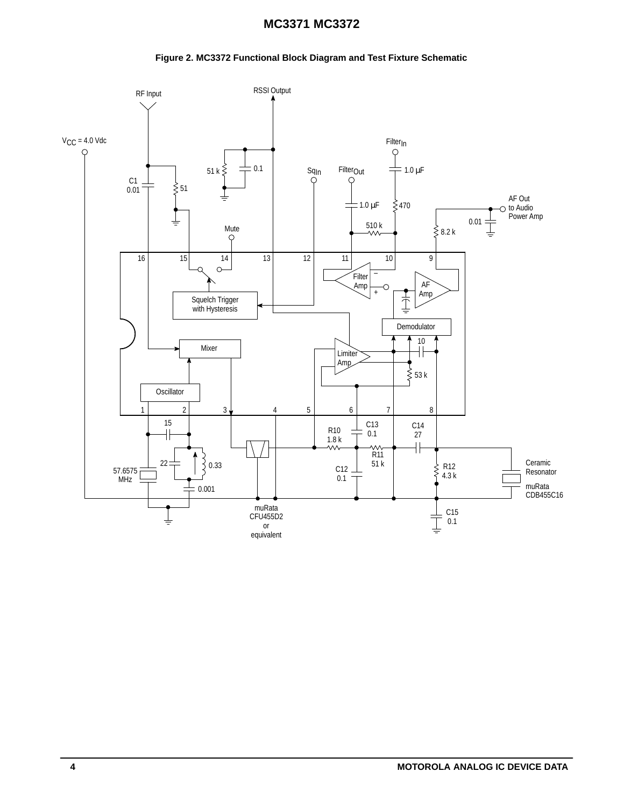### **Figure 2. MC3372 Functional Block Diagram and Test Fixture Schematic**

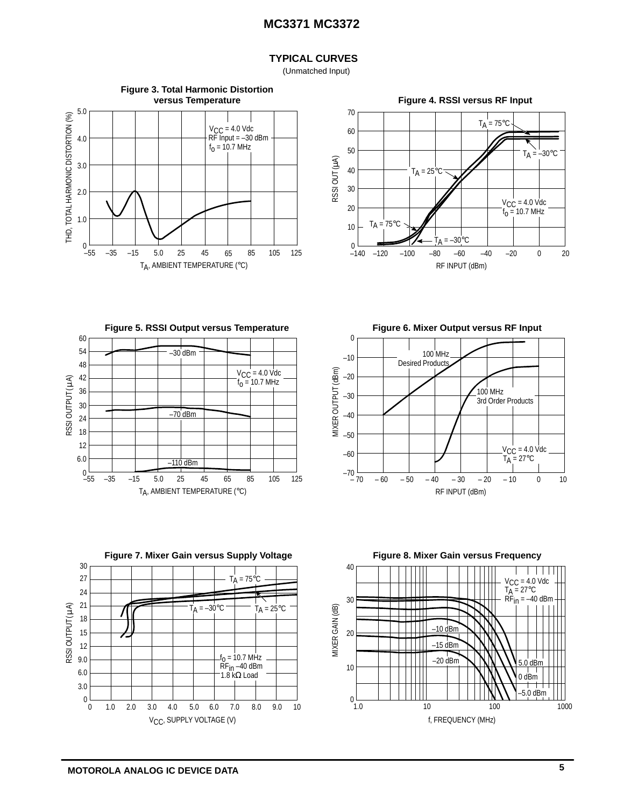### **TYPICAL CURVES**

(Unmatched Input)











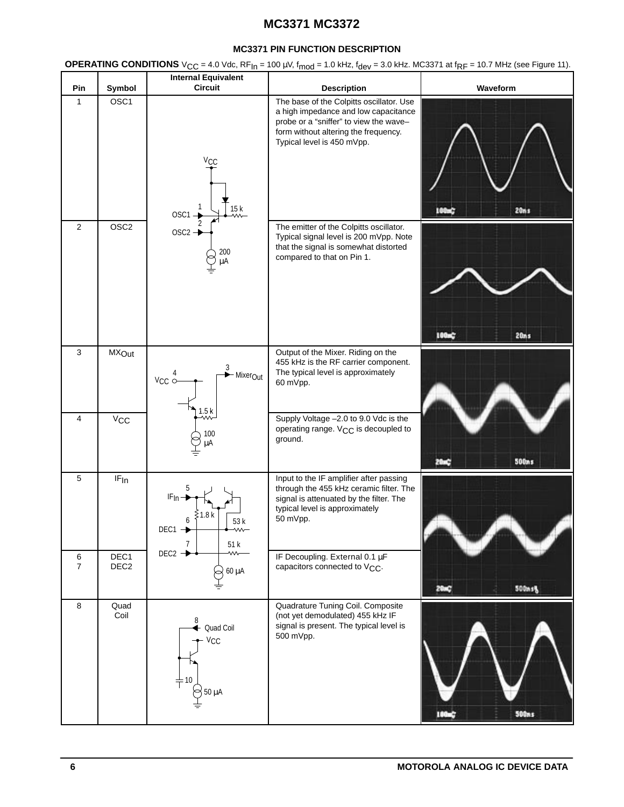#### **MC3371 PIN FUNCTION DESCRIPTION**

**OPERATING CONDITIONS**  $V_{CC} = 4.0$  Vdc,  $RF_{In} = 100$   $\mu$ V,  $f_{mod} = 1.0$  kHz,  $f_{dev} = 3.0$  kHz. MC3371 at  $f_{RF} = 10.7$  MHz (see Figure 11).

| Pin                 | Symbol                   | <b>Internal Equivalent</b><br><b>Circuit</b>                    | <b>Description</b>                                                                                                                                                                               | Waveform               |
|---------------------|--------------------------|-----------------------------------------------------------------|--------------------------------------------------------------------------------------------------------------------------------------------------------------------------------------------------|------------------------|
| 1                   | OSC <sub>1</sub>         | <b>V<sub>CC</sub></b><br>15k<br>$OSC1 -$                        | The base of the Colpitts oscillator. Use<br>a high impedance and low capacitance<br>probe or a "sniffer" to view the wave-<br>form without altering the frequency.<br>Typical level is 450 mVpp. | 20ns<br>100mG          |
| $\overline{2}$      | OSC <sub>2</sub>         | OSC <sub>2</sub> -<br>200<br>μA                                 | The emitter of the Colpitts oscillator.<br>Typical signal level is 200 mVpp. Note<br>that the signal is somewhat distorted<br>compared to that on Pin 1.                                         | 100m<br>20ns           |
| 3                   | <b>MX</b> Out            | 3<br>- Mixer <sub>Out</sub><br>$V_{CC}$                         | Output of the Mixer. Riding on the<br>455 kHz is the RF carrier component.<br>The typical level is approximately<br>60 mVpp.                                                                     |                        |
| 4                   | $V_{\text{CC}}$          | 1.5k<br>w.<br>100<br>μA                                         | Supply Voltage -2.0 to 9.0 Vdc is the<br>operating range. V <sub>CC</sub> is decoupled to<br>ground.                                                                                             | <b>500ns</b>           |
| 5                   | IF <sub>In</sub>         | 5<br>IF <sub>In</sub><br>.8 k<br>6<br>53 k<br>DEC1<br>7<br>51 k | Input to the IF amplifier after passing<br>through the 455 kHz ceramic filter. The<br>signal is attenuated by the filter. The<br>typical level is approximately<br>50 mVpp.                      |                        |
| 6<br>$\overline{7}$ | DEC1<br>DEC <sub>2</sub> | $DEC2 \rightarrow$<br>60 μA                                     | IF Decoupling. External 0.1 µF<br>capacitors connected to V <sub>CC</sub> .                                                                                                                      | 500msg                 |
| 8                   | Quad<br>Coil             | 8<br>Quad Coil<br>$V_{CC}$<br>10<br>$50 \mu A$                  | Quadrature Tuning Coil. Composite<br>(not yet demodulated) 455 kHz IF<br>signal is present. The typical level is<br>500 mVpp.                                                                    | <b>Stitus</b><br>100s) |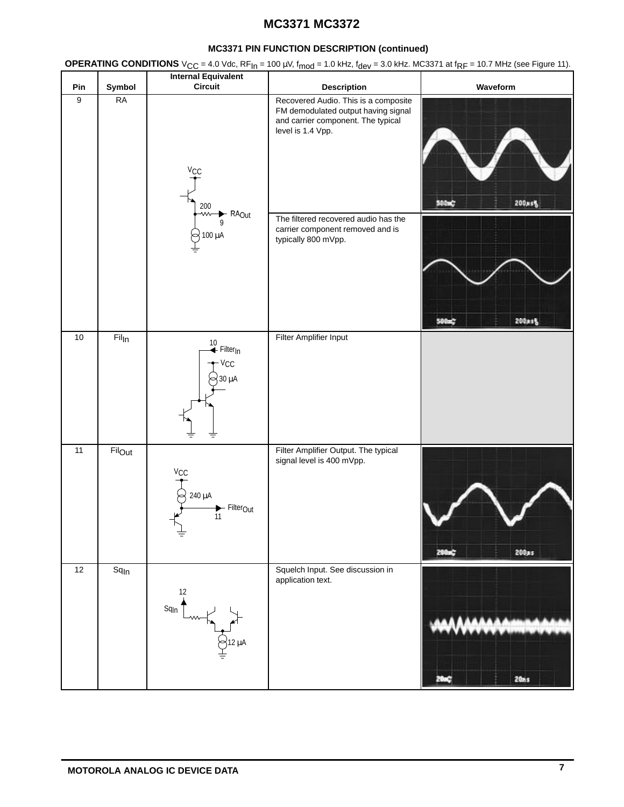### **MC3371 PIN FUNCTION DESCRIPTION (continued)**

**OPERATING CONDITIONS**  $V_{CC} = 4.0$  Vdc,  $RF_{In} = 100$   $\mu$ V,  $f_{mod} = 1.0$  kHz,  $f_{dev} = 3.0$  kHz. MC3371 at  $f_{RF} = 10.7$  MHz (see Figure 11).

|                  |                             | <b>Internal Equivalent</b>                                                              |                                                                                                                                                                                                                                           |                  |
|------------------|-----------------------------|-----------------------------------------------------------------------------------------|-------------------------------------------------------------------------------------------------------------------------------------------------------------------------------------------------------------------------------------------|------------------|
| Pin              | Symbol                      | <b>Circuit</b>                                                                          | <b>Description</b>                                                                                                                                                                                                                        | Waveform         |
| $\boldsymbol{9}$ | <b>RA</b>                   | <b>V<sub>CC</sub></b><br>200<br>$\rightarrow$ RA <sub>Out</sub><br>⇜<br>9<br>100 µA     | Recovered Audio. This is a composite<br>FM demodulated output having signal<br>and carrier component. The typical<br>level is 1.4 Vpp.<br>The filtered recovered audio has the<br>carrier component removed and is<br>typically 800 mVpp. | 500mC<br>200xs%  |
|                  |                             |                                                                                         |                                                                                                                                                                                                                                           | 200ast<br>500mg  |
| $10$<br>11       | Fil <sub>In</sub><br>Filout | 10<br>← Filter <sub>In</sub><br>· Vcc<br>30 µA<br>₹                                     | Filter Amplifier Input<br>Filter Amplifier Output. The typical                                                                                                                                                                            |                  |
|                  |                             | $V_{\text{CC}}$<br>240 µA<br>$\blacktriangleright$ Filter <sub>Out</sub><br>11<br>$\pm$ | signal level is 400 mVpp.                                                                                                                                                                                                                 | 200m<br>200as    |
| 12               | Sq <sub>In</sub>            | $\frac{12}{1}$<br>$Sq_{\ln}$                                                            | Squelch Input. See discussion in<br>application text.                                                                                                                                                                                     | 20 <sub>ms</sub> |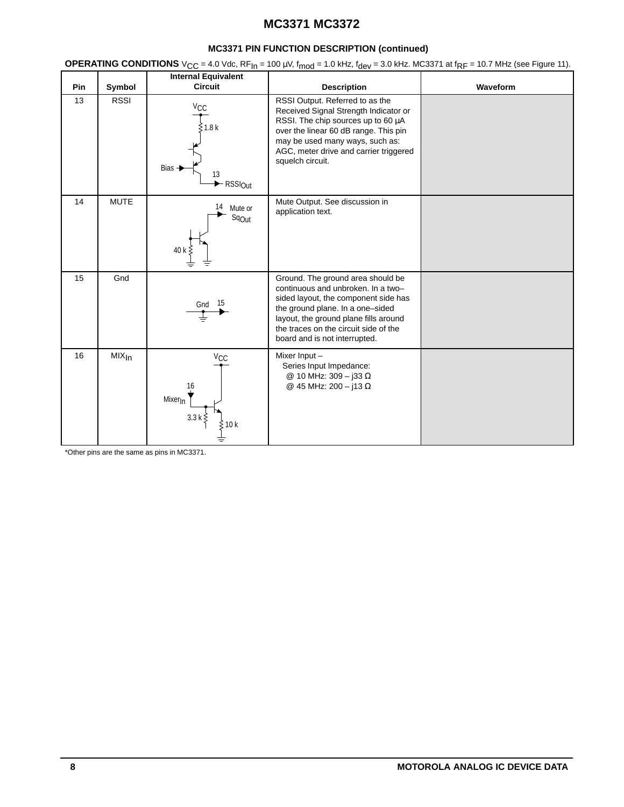### **MC3371 PIN FUNCTION DESCRIPTION (continued)**

**OPERATING CONDITIONS**  $V_{CC} = 4.0$  Vdc,  $RF_{In} = 100$   $\mu$ V,  $f_{mod} = 1.0$  kHz,  $f_{dev} = 3.0$  kHz. MC3371 at  $f_{RF} = 10.7$  MHz (see Figure 11).

|     |                     | <b>Internal Equivalent</b>                                                                  |                                                                                                                                                                                                                                                                        |          |
|-----|---------------------|---------------------------------------------------------------------------------------------|------------------------------------------------------------------------------------------------------------------------------------------------------------------------------------------------------------------------------------------------------------------------|----------|
| Pin | Symbol              | <b>Circuit</b>                                                                              | <b>Description</b>                                                                                                                                                                                                                                                     | Waveform |
| 13  | <b>RSSI</b>         | $V_{\text{CC}}$<br>≶1.8 k<br><b>Bias</b><br>13<br>$\blacktriangleright$ RSSI <sub>Out</sub> | RSSI Output. Referred to as the<br>Received Signal Strength Indicator or<br>RSSI. The chip sources up to 60 µA<br>over the linear 60 dB range. This pin<br>may be used many ways, such as:<br>AGC, meter drive and carrier triggered<br>squelch circuit.               |          |
| 14  | <b>MUTE</b>         | 14<br>Mute or<br>Sq <sub>Out</sub><br>40 k                                                  | Mute Output. See discussion in<br>application text.                                                                                                                                                                                                                    |          |
| 15  | Gnd                 | 15<br>Gnd                                                                                   | Ground. The ground area should be<br>continuous and unbroken. In a two-<br>sided layout, the component side has<br>the ground plane. In a one-sided<br>layout, the ground plane fills around<br>the traces on the circuit side of the<br>board and is not interrupted. |          |
| 16  | $MIX$ <sub>In</sub> | <b>V<sub>CC</sub></b><br>16<br>Mixer <sub>In</sub><br>3.3 <sub>k</sub><br>10 k              | Mixer Input-<br>Series Input Impedance:<br>@ 10 MHz: 309 - j33 Ω<br>@ 45 MHz: 200 - j13 Ω                                                                                                                                                                              |          |

\*Other pins are the same as pins in MC3371.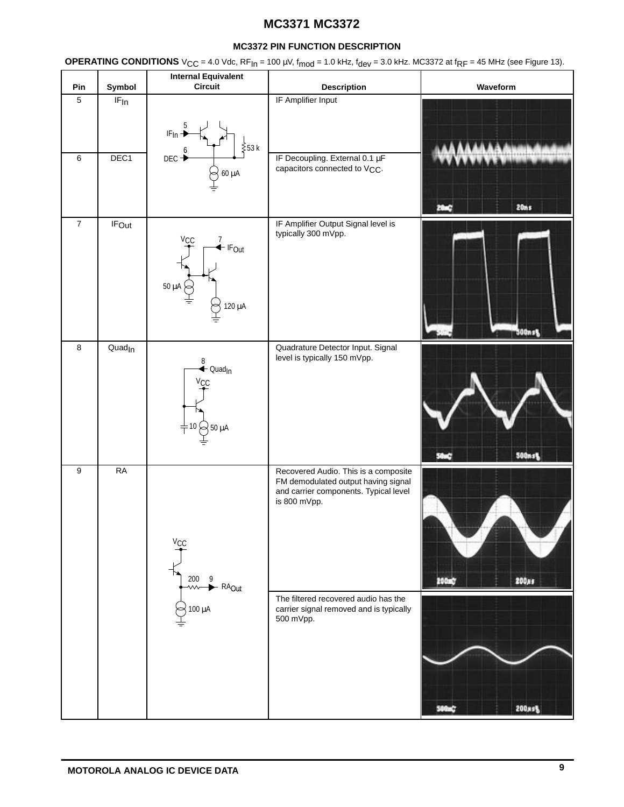### **MC3372 PIN FUNCTION DESCRIPTION**

**OPERATING CONDITIONS**  $V_{CC} = 4.0$  Vdc,  $RF_{In} = 100 \mu V$ ,  $f_{mod} = 1.0$  kHz,  $f_{dev} = 3.0$  kHz. MC3372 at  $f_{RF} = 45$  MHz (see Figure 13).

| Pin              | Symbol             | <b>Internal Equivalent</b><br>Circuit                                                                  | <b>Description</b>                                                                                                                                                                                                                   | Waveform       |
|------------------|--------------------|--------------------------------------------------------------------------------------------------------|--------------------------------------------------------------------------------------------------------------------------------------------------------------------------------------------------------------------------------------|----------------|
| $5\phantom{.0}$  | IF <sub>In</sub>   | $\overline{5}$<br>$IF_{In}$<br>$\frac{2}{5}$ 53 k                                                      | IF Amplifier Input                                                                                                                                                                                                                   |                |
| $\,6\,$          | DEC1               | DEC-<br>60 μA                                                                                          | IF Decoupling. External 0.1 µF<br>capacitors connected to V <sub>CC</sub> .                                                                                                                                                          | <b>20ms</b>    |
| $\overline{7}$   | <b>IFOut</b>       | $\stackrel{7}{\blacktriangle}$ IF <sub>Out</sub><br>/cc<br>50 $\mu$ A<br>120 μA                        | IF Amplifier Output Signal level is<br>typically 300 mVpp.                                                                                                                                                                           | 300n s 5       |
| $\bf 8$          | Quad <sub>In</sub> | $\overset{8}{\blacktriangle}$ Quad <sub>in</sub><br><b>V<sub>CC</sub></b><br>$\neq$ 10 $\bowtie$ 50 µA | Quadrature Detector Input. Signal<br>level is typically 150 mVpp.                                                                                                                                                                    | <b>500ns%</b>  |
| $\boldsymbol{9}$ | RA                 | $V_{CC}$<br>200<br>- 9<br>- RA <sub>Out</sub><br>⇜<br>$100 \mu A$<br>$\sim$                            | Recovered Audio. This is a composite<br>FM demodulated output having signal<br>and carrier components. Typical level<br>is 800 mVpp.<br>The filtered recovered audio has the<br>carrier signal removed and is typically<br>500 mVpp. | 200xs<br>200mg |
|                  |                    |                                                                                                        |                                                                                                                                                                                                                                      | 200xs%         |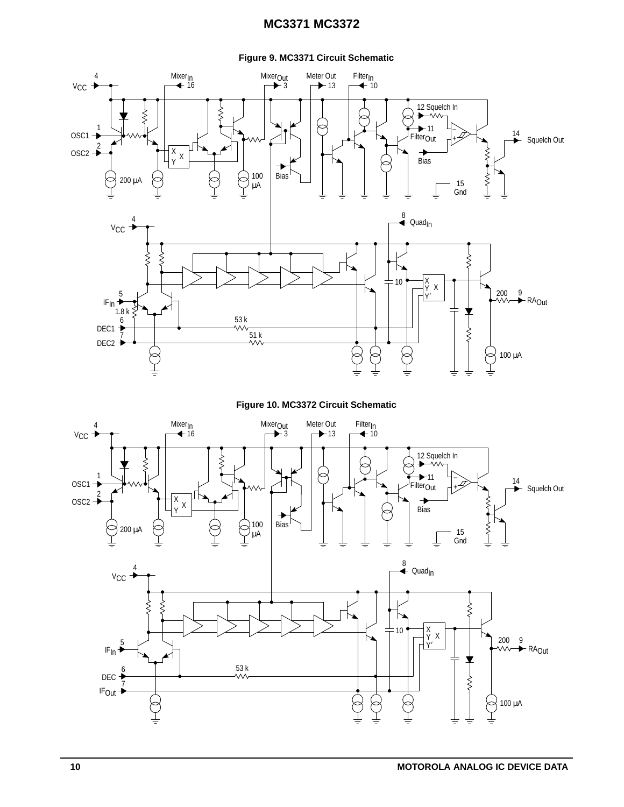#### **Figure 9. MC3371 Circuit Schematic**



**Figure 10. MC3372 Circuit Schematic**

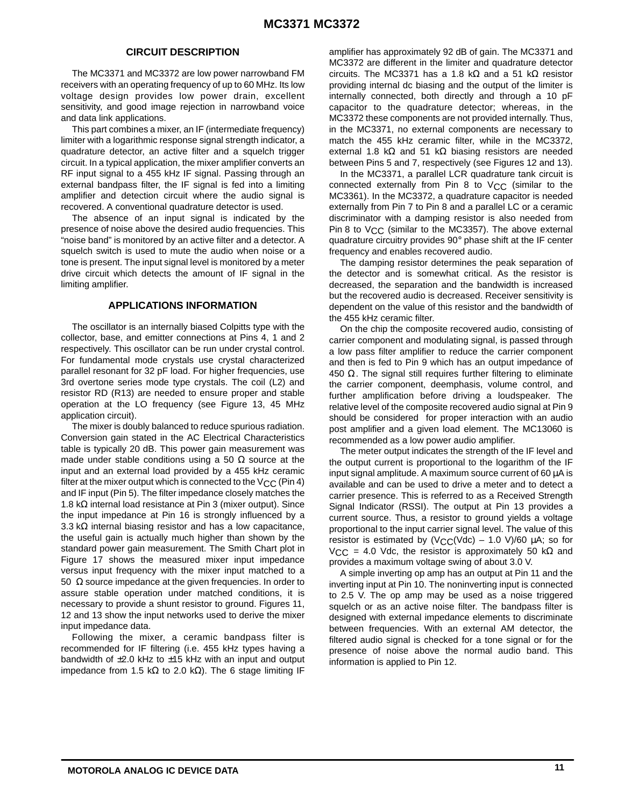#### **CIRCUIT DESCRIPTION**

The MC3371 and MC3372 are low power narrowband FM receivers with an operating frequency of up to 60 MHz. Its low voltage design provides low power drain, excellent sensitivity, and good image rejection in narrowband voice and data link applications.

This part combines a mixer, an IF (intermediate frequency) limiter with a logarithmic response signal strength indicator, a quadrature detector, an active filter and a squelch trigger circuit. In a typical application, the mixer amplifier converts an RF input signal to a 455 kHz IF signal. Passing through an external bandpass filter, the IF signal is fed into a limiting amplifier and detection circuit where the audio signal is recovered. A conventional quadrature detector is used.

The absence of an input signal is indicated by the presence of noise above the desired audio frequencies. This "noise band" is monitored by an active filter and a detector. A squelch switch is used to mute the audio when noise or a tone is present. The input signal level is monitored by a meter drive circuit which detects the amount of IF signal in the limiting amplifier.

#### **APPLICATIONS INFORMATION**

The oscillator is an internally biased Colpitts type with the collector, base, and emitter connections at Pins 4, 1 and 2 respectively. This oscillator can be run under crystal control. For fundamental mode crystals use crystal characterized parallel resonant for 32 pF load. For higher frequencies, use 3rd overtone series mode type crystals. The coil (L2) and resistor RD (R13) are needed to ensure proper and stable operation at the LO frequency (see Figure 13, 45 MHz application circuit).

The mixer is doubly balanced to reduce spurious radiation. Conversion gain stated in the AC Electrical Characteristics table is typically 20 dB. This power gain measurement was made under stable conditions using a 50  $\Omega$  source at the input and an external load provided by a 455 kHz ceramic filter at the mixer output which is connected to the V<sub>CC</sub> (Pin 4) and IF input (Pin 5). The filter impedance closely matches the 1.8 kΩ internal load resistance at Pin 3 (mixer output). Since the input impedance at Pin 16 is strongly influenced by a 3.3 kΩ internal biasing resistor and has a low capacitance, the useful gain is actually much higher than shown by the standard power gain measurement. The Smith Chart plot in Figure 17 shows the measured mixer input impedance versus input frequency with the mixer input matched to a 50  $\Omega$  source impedance at the given frequencies. In order to assure stable operation under matched conditions, it is necessary to provide a shunt resistor to ground. Figures 11, 12 and 13 show the input networks used to derive the mixer input impedance data.

Following the mixer, a ceramic bandpass filter is recommended for IF filtering (i.e. 455 kHz types having a bandwidth of  $\pm 2.0$  kHz to  $\pm 15$  kHz with an input and output impedance from 1.5 kΩ to 2.0 kΩ). The 6 stage limiting IF amplifier has approximately 92 dB of gain. The MC3371 and MC3372 are different in the limiter and quadrature detector circuits. The MC3371 has a 1.8 kΩ and a 51 kΩ resistor providing internal dc biasing and the output of the limiter is internally connected, both directly and through a 10 pF capacitor to the quadrature detector; whereas, in the MC3372 these components are not provided internally. Thus, in the MC3371, no external components are necessary to match the 455 kHz ceramic filter, while in the MC3372, external 1.8 kΩ and 51 kΩ biasing resistors are needed between Pins 5 and 7, respectively (see Figures 12 and 13).

In the MC3371, a parallel LCR quadrature tank circuit is connected externally from Pin 8 to  $V_{CC}$  (similar to the MC3361). In the MC3372, a quadrature capacitor is needed externally from Pin 7 to Pin 8 and a parallel LC or a ceramic discriminator with a damping resistor is also needed from Pin 8 to V<sub>CC</sub> (similar to the MC3357). The above external quadrature circuitry provides 90° phase shift at the IF center frequency and enables recovered audio.

The damping resistor determines the peak separation of the detector and is somewhat critical. As the resistor is decreased, the separation and the bandwidth is increased but the recovered audio is decreased. Receiver sensitivity is dependent on the value of this resistor and the bandwidth of the 455 kHz ceramic filter.

On the chip the composite recovered audio, consisting of carrier component and modulating signal, is passed through a low pass filter amplifier to reduce the carrier component and then is fed to Pin 9 which has an output impedance of 450  $\Omega$ . The signal still requires further filtering to eliminate the carrier component, deemphasis, volume control, and further amplification before driving a loudspeaker. The relative level of the composite recovered audio signal at Pin 9 should be considered for proper interaction with an audio post amplifier and a given load element. The MC13060 is recommended as a low power audio amplifier.

The meter output indicates the strength of the IF level and the output current is proportional to the logarithm of the IF input signal amplitude. A maximum source current of 60 µA is available and can be used to drive a meter and to detect a carrier presence. This is referred to as a Received Strength Signal Indicator (RSSI). The output at Pin 13 provides a current source. Thus, a resistor to ground yields a voltage proportional to the input carrier signal level. The value of this resistor is estimated by  $(V<sub>C</sub>C(Vdc) - 1.0 V)/60 \mu A$ ; so for VCC = 4.0 Vdc, the resistor is approximately 50 kΩ and provides a maximum voltage swing of about 3.0 V.

A simple inverting op amp has an output at Pin 11 and the inverting input at Pin 10. The noninverting input is connected to 2.5 V. The op amp may be used as a noise triggered squelch or as an active noise filter. The bandpass filter is designed with external impedance elements to discriminate between frequencies. With an external AM detector, the filtered audio signal is checked for a tone signal or for the presence of noise above the normal audio band. This information is applied to Pin 12.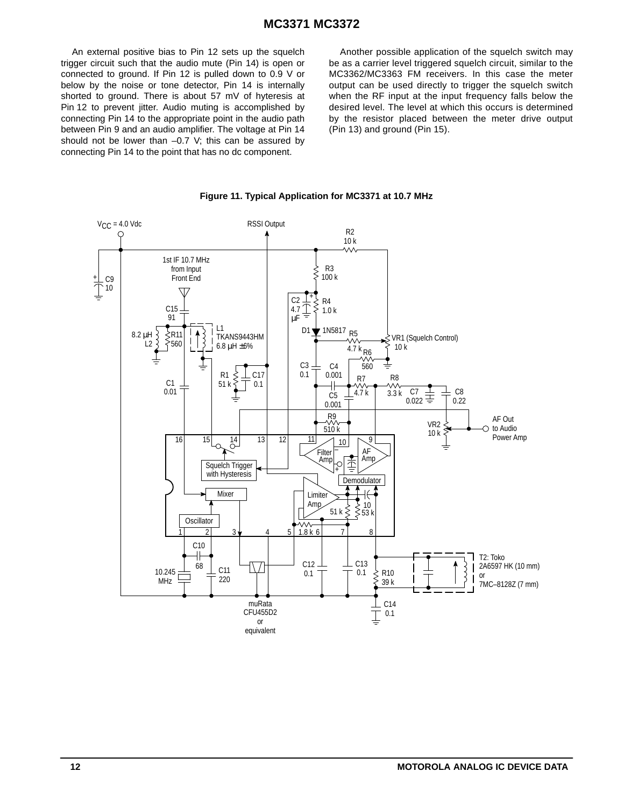An external positive bias to Pin 12 sets up the squelch trigger circuit such that the audio mute (Pin 14) is open or connected to ground. If Pin 12 is pulled down to 0.9 V or below by the noise or tone detector, Pin 14 is internally shorted to ground. There is about 57 mV of hyteresis at Pin 12 to prevent jitter. Audio muting is accomplished by connecting Pin 14 to the appropriate point in the audio path between Pin 9 and an audio amplifier. The voltage at Pin 14 should not be lower than –0.7 V; this can be assured by connecting Pin 14 to the point that has no dc component.

Another possible application of the squelch switch may be as a carrier level triggered squelch circuit, similar to the MC3362/MC3363 FM receivers. In this case the meter output can be used directly to trigger the squelch switch when the RF input at the input frequency falls below the desired level. The level at which this occurs is determined by the resistor placed between the meter drive output (Pin 13) and ground (Pin 15).



**Figure 11. Typical Application for MC3371 at 10.7 MHz**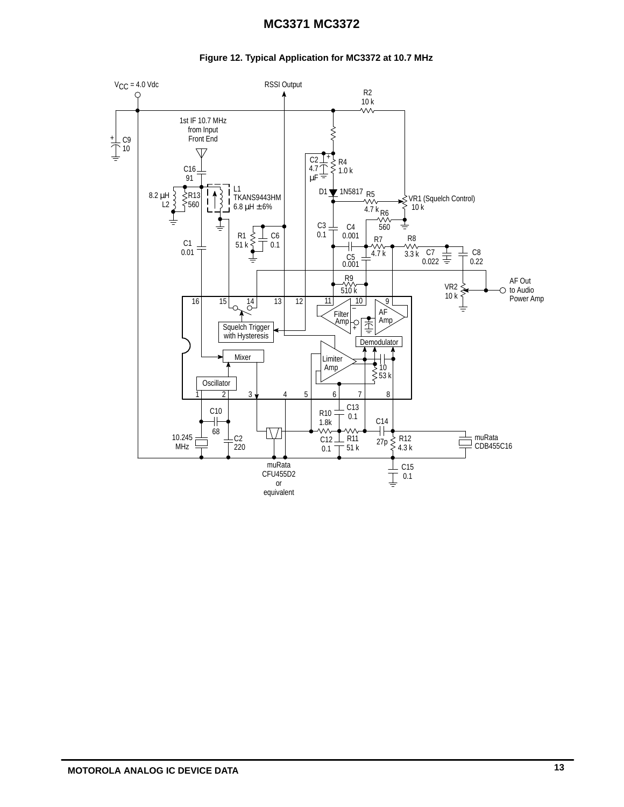### **Figure 12. Typical Application for MC3372 at 10.7 MHz**

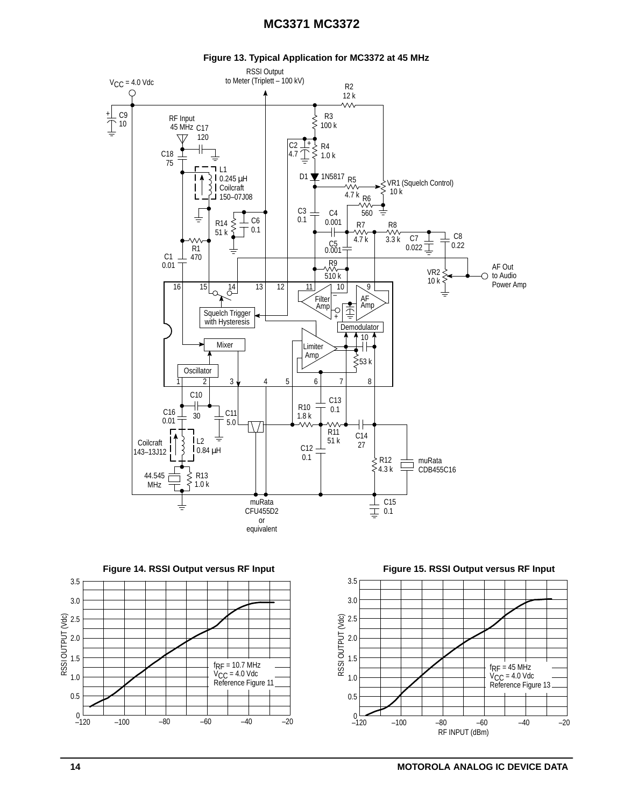

**Figure 13. Typical Application for MC3372 at 45 MHz**





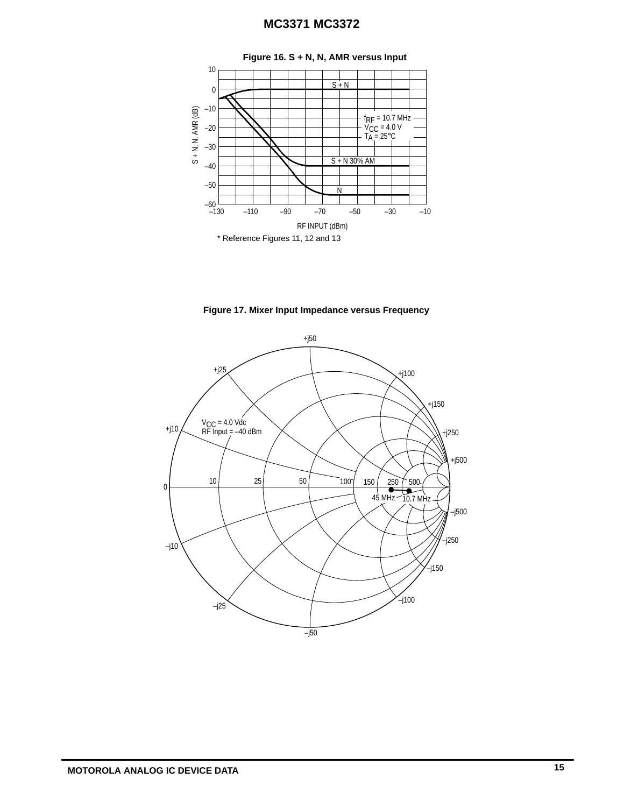

**Figure 17. Mixer Input Impedance versus Frequency**

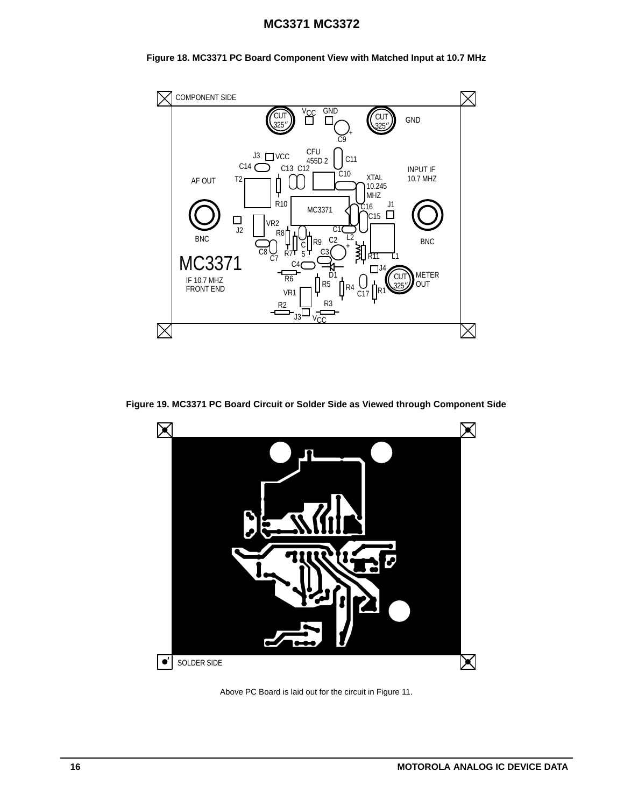



**Figure 19. MC3371 PC Board Circuit or Solder Side as Viewed through Component Side**



Above PC Board is laid out for the circuit in Figure 11.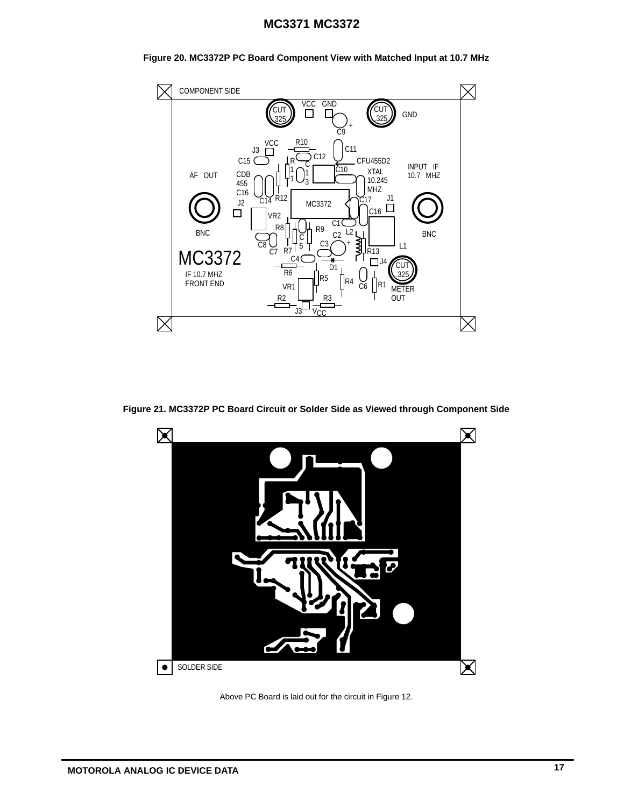

C3

R6 VR1

C4

C 5

R2

 $\overline{\text{cs}}\bigcup\limits_{\text{C7}}$  R7 C7

MC3372 IF 10.7 MHZ FRONT END

BNC

 $\boxtimes$ 

D1 R5 ||R4 C6

 $C<sub>2</sub>$ +

L2

ן<br>ו≷

R3

<u>J3 V<sub>CC</sub></u>

**Figure 20. MC3372P PC Board Component View with Matched Input at 10.7 MHz**

**Figure 21. MC3372P PC Board Circuit or Solder Side as Viewed through Component Side**

METER OUT

L1

CU .325 **BNC** 

Х

 $\Box$ 

R13

R1



Above PC Board is laid out for the circuit in Figure 12.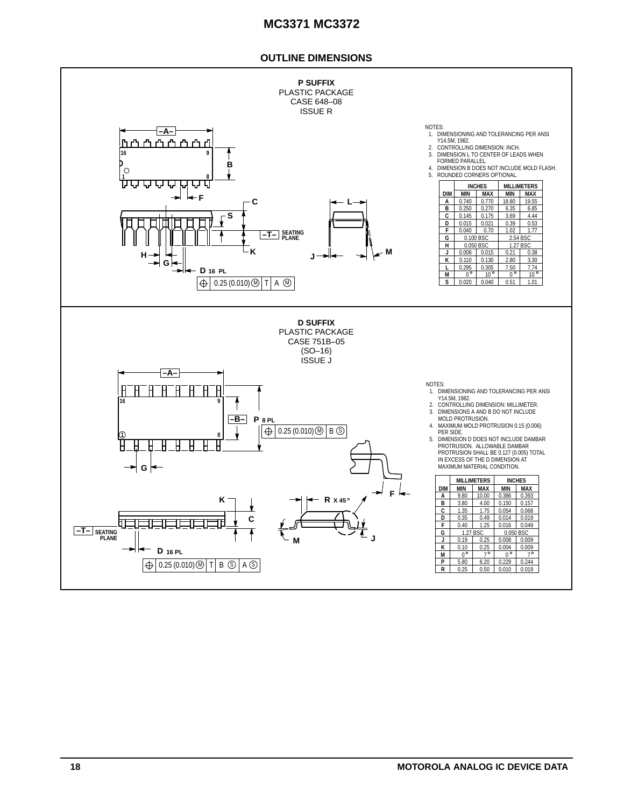### **OUTLINE DIMENSIONS**

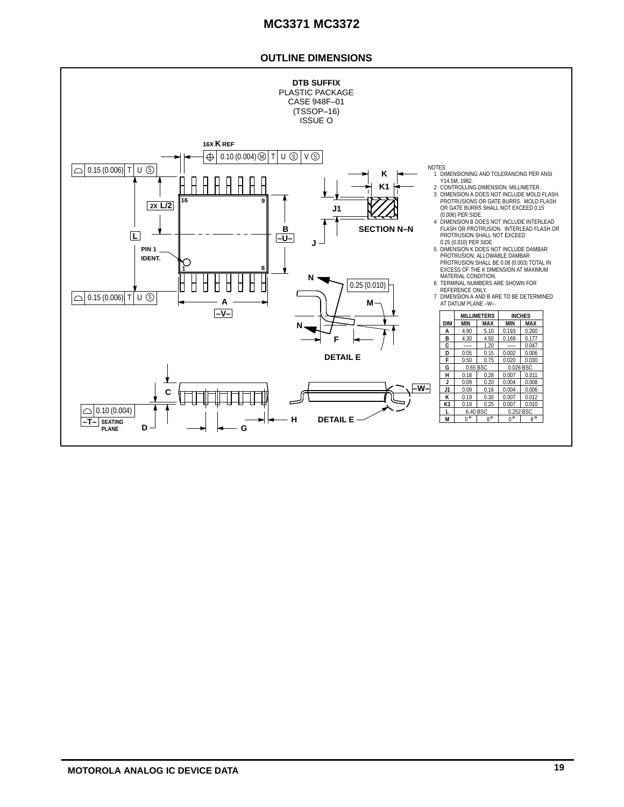### **OUTLINE DIMENSIONS**